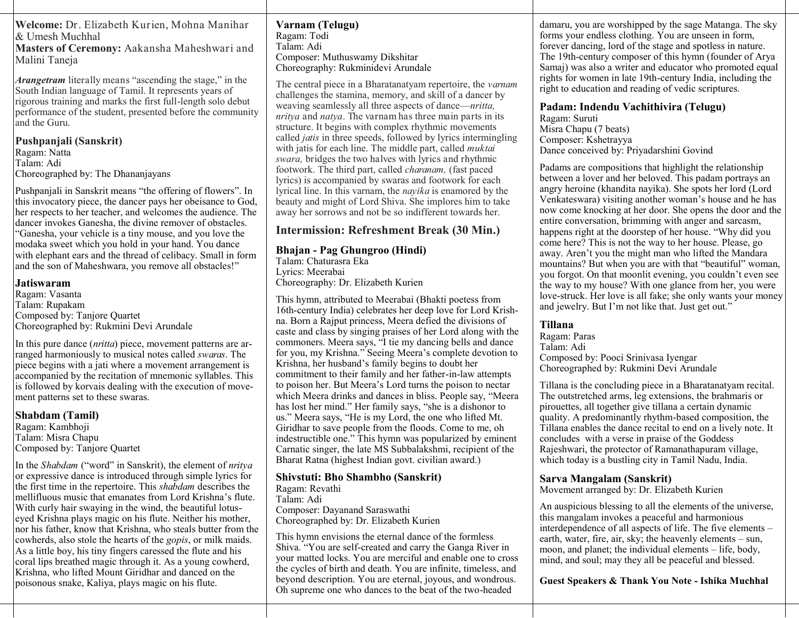**Welcome:** Dr. Elizabeth Kurien, Mohna Manihar & Umesh Muchhal

**Masters of Ceremony:** Aakansha Maheshwari and Malini Taneja

*Arangetram* literally means "ascending the stage," in the South Indian language of Tamil. It represents years of rigorous training and marks the first full-length solo debut performance of the student, presented before the community and the Guru.

**Pushpanjali (Sanskrit)** Ragam: Natta Talam: Adi Choreographed by: The Dhananjayans

Pushpanjali in Sanskrit means "the offering of flowers". In this invocatory piece, the dancer pays her obeisance to God, her respects to her teacher, and welcomes the audience. The dancer invokes Ganesha, the divine remover of obstacles. "Ganesha, your vehicle is a tiny mouse, and you love the modaka sweet which you hold in your hand. You dance with elephant ears and the thread of celibacy. Small in form and the son of Maheshwara, you remove all obstacles!"

#### **Jatiswaram**

Ragam: Vasanta Talam: Rupakam Composed by: Tanjore Quartet Choreographed by: Rukmini Devi Arundale

In this pure dance (*nritta*) piece, movement patterns are arranged harmoniously to musical notes called *swaras*. The piece begins with a jati where a movement arrangement is accompanied by the recitation of mnemonic syllables. This is followed by korvais dealing with the execution of movement patterns set to these swaras.

#### **Shabdam (Tamil)**

Ragam: Kambhoji Talam: Misra Chapu Composed by: Tanjore Quartet

In the *Shabdam* ("word" in Sanskrit), the element of *nritya* or expressive dance is introduced through simple lyrics for the first time in the repertoire. This *shabdam* describes the mellifluous music that emanates from Lord Krishna's flute. With curly hair swaying in the wind, the beautiful lotuseyed Krishna plays magic on his flute. Neither his mother, nor his father, know that Krishna, who steals butter from the cowherds, also stole the hearts of the *gopis*, or milk maids. As a little boy, his tiny fingers caressed the flute and his coral lips breathed magic through it. As a young cowherd, Krishna, who lifted Mount Giridhar and danced on the poisonous snake, Kaliya, plays magic on his flute.

#### **Varnam (Telugu)** Ragam: Todi Talam: Adi Composer: Muthuswamy Dikshitar Choreography: Rukminidevi Arundale

The central piece in a Bharatanatyam repertoire, the *varnam* challenges the stamina, memory, and skill of a dancer by weaving seamlessly all three aspects of dance—*nritta, nritya* and *natya*. The varnam has three main parts in its structure. It begins with complex rhythmic movements called *jatis* in three speeds, followed by lyrics intermingling with jatis for each line. The middle part, called *muktai swara,* bridges the two halves with lyrics and rhythmic footwork. The third part, called *charanam,* (fast paced lyrics) is accompanied by swaras and footwork for each lyrical line. In this varnam, the *nayika* is enamored by the beauty and might of Lord Shiva. She implores him to take away her sorrows and not be so indifferent towards her.

# **Intermission: Refreshment Break (30 Min.)**

#### **Bhajan - Pag Ghungroo (Hindi)** Talam: Chaturasra Eka Lyrics: Meerabai Choreography: Dr. Elizabeth Kurien

This hymn, attributed to Meerabai (Bhakti poetess from 16th-century India) celebrates her deep love for Lord Krishna. Born a Rajput princess, Meera defied the divisions of caste and class by singing praises of her Lord along with the commoners. Meera says, "I tie my dancing bells and dance for you, my Krishna." Seeing Meera's complete devotion to Krishna, her husband's family begins to doubt her commitment to their family and her father-in-law attempts to poison her. But Meera's Lord turns the poison to nectar which Meera drinks and dances in bliss. People say, "Meera has lost her mind." Her family says, "she is a dishonor to us." Meera says, "He is my Lord, the one who lifted Mt. Giridhar to save people from the floods. Come to me, oh indestructible one." This hymn was popularized by eminent Carnatic singer, the late MS Subbalakshmi, recipient of the Bharat Ratna (highest Indian govt. civilian award.)

## **Shivstuti: Bho Shambho (Sanskrit)**

Ragam: Revathi Talam: Adi Composer: Dayanand Saraswathi Choreographed by: Dr. Elizabeth Kurien

This hymn envisions the eternal dance of the formless Shiva. "You are self-created and carry the Ganga River in your matted locks. You are merciful and enable one to cross the cycles of birth and death. You are infinite, timeless, and beyond description. You are eternal, joyous, and wondrous. Oh supreme one who dances to the beat of the two-headed

damaru, you are worshipped by the sage Matanga. The sky forms your endless clothing. You are unseen in form, forever dancing, lord of the stage and spotless in nature. The 19th-century composer of this hymn (founder of Arya Samaj) was also a writer and educator who promoted equal rights for women in late 19th-century India, including the right to education and reading of vedic scriptures.

### **Padam: Indendu Vachithivira (Telugu)**

Ragam: Suruti Misra Chapu (7 beats) Composer: Kshetrayya Dance conceived by: Priyadarshini Govind

Padams are compositions that highlight the relationship between a lover and her beloved. This padam portrays an angry heroine (khandita nayika). She spots her lord (Lord Venkateswara) visiting another woman's house and he has now come knocking at her door. She opens the door and the entire conversation, brimming with anger and sarcasm, happens right at the doorstep of her house. "Why did you come here? This is not the way to her house. Please, go away. Aren't you the might man who lifted the Mandara mountains? But when you are with that "beautiful" woman, you forgot. On that moonlit evening, you couldn't even see the way to my house? With one glance from her, you were love-struck. Her love is all fake; she only wants your money and jewelry. But I'm not like that. Just get out."

## **Tillana**

Ragam: Paras Talam: Adi Composed by: Pooci Srinivasa Iyengar Choreographed by: Rukmini Devi Arundale

Tillana is the concluding piece in a Bharatanatyam recital. The outstretched arms, leg extensions, the brahmaris or pirouettes, all together give tillana a certain dynamic quality. A predominantly rhythm-based composition, the Tillana enables the dance recital to end on a lively note. It concludes with a verse in praise of the Goddess Rajeshwari, the protector of Ramanathapuram village, which today is a bustling city in Tamil Nadu, India.

# **Sarva Mangalam (Sanskrit)**

Movement arranged by: Dr. Elizabeth Kurien

An auspicious blessing to all the elements of the universe, this mangalam invokes a peaceful and harmonious interdependence of all aspects of life. The five elements – earth, water, fire, air, sky; the heavenly elements – sun, moon, and planet; the individual elements – life, body, mind, and soul; may they all be peaceful and blessed.

**Guest Speakers & Thank You Note - Ishika Muchhal**